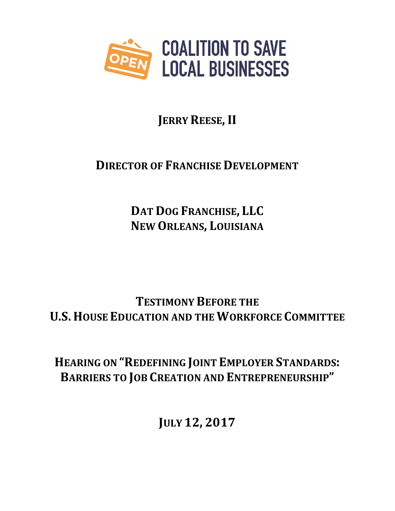

# **JERRY REESE, II**

## **DIRECTOR OF FRANCHISE DEVELOPMENT**

**DAT DOG FRANCHISE, LLC NEW ORLEANS, LOUISIANA**

**TESTIMONY BEFORE THE U.S. HOUSE EDUCATION AND THE WORKFORCE COMMITTEE**

**HEARING ON "REDEFINING JOINT EMPLOYER STANDARDS: BARRIERS TO JOB CREATION AND ENTREPRENEURSHIP"**

**JULY 12, 2017**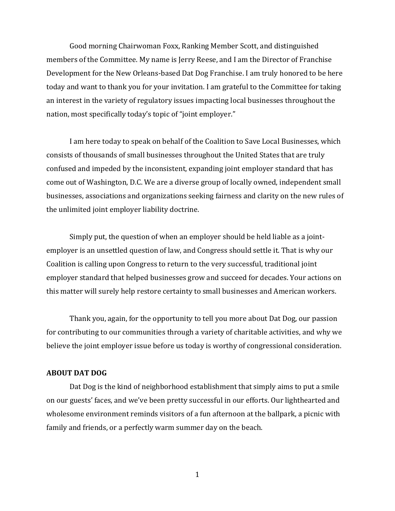Good morning Chairwoman Foxx, Ranking Member Scott, and distinguished members of the Committee. My name is Jerry Reese, and I am the Director of Franchise Development for the New Orleans-based Dat Dog Franchise. I am truly honored to be here today and want to thank you for your invitation. I am grateful to the Committee for taking an interest in the variety of regulatory issues impacting local businesses throughout the nation, most specifically today's topic of "joint employer."

I am here today to speak on behalf of the Coalition to Save Local Businesses, which consists of thousands of small businesses throughout the United States that are truly confused and impeded by the inconsistent, expanding joint employer standard that has come out of Washington, D.C. We are a diverse group of locally owned, independent small businesses, associations and organizations seeking fairness and clarity on the new rules of the unlimited joint employer liability doctrine.

Simply put, the question of when an employer should be held liable as a jointemployer is an unsettled question of law, and Congress should settle it. That is why our Coalition is calling upon Congress to return to the very successful, traditional joint employer standard that helped businesses grow and succeed for decades. Your actions on this matter will surely help restore certainty to small businesses and American workers.

Thank you, again, for the opportunity to tell you more about Dat Dog, our passion for contributing to our communities through a variety of charitable activities, and why we believe the joint employer issue before us today is worthy of congressional consideration.

#### **ABOUT DAT DOG**

Dat Dog is the kind of neighborhood establishment that simply aims to put a smile on our guests' faces, and we've been pretty successful in our efforts. Our lighthearted and wholesome environment reminds visitors of a fun afternoon at the ballpark, a picnic with family and friends, or a perfectly warm summer day on the beach.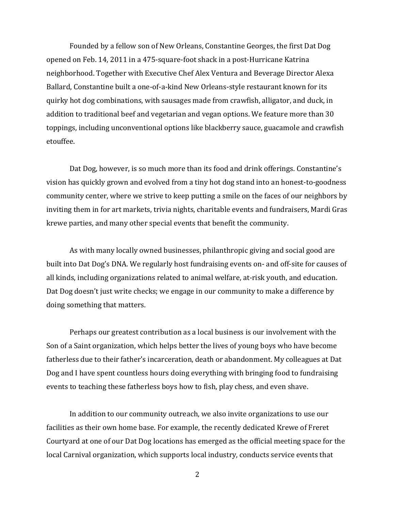Founded by a fellow son of New Orleans, Constantine Georges, the first Dat Dog opened on Feb. 14, 2011 in a 475-square-foot shack in a post-Hurricane Katrina neighborhood. Together with Executive Chef Alex Ventura and Beverage Director Alexa Ballard, Constantine built a one-of-a-kind New Orleans-style restaurant known for its quirky hot dog combinations, with sausages made from crawfish, alligator, and duck, in addition to traditional beef and vegetarian and vegan options. We feature more than 30 toppings, including unconventional options like blackberry sauce, guacamole and crawfish etouffee.

Dat Dog, however, is so much more than its food and drink offerings. Constantine's vision has quickly grown and evolved from a tiny hot dog stand into an honest-to-goodness community center, where we strive to keep putting a smile on the faces of our neighbors by inviting them in for art markets, trivia nights, charitable events and fundraisers, Mardi Gras krewe parties, and many other special events that benefit the community.

As with many locally owned businesses, philanthropic giving and social good are built into Dat Dog's DNA. We regularly host fundraising events on- and off-site for causes of all kinds, including organizations related to animal welfare, at-risk youth, and education. Dat Dog doesn't just write checks; we engage in our community to make a difference by doing something that matters.

Perhaps our greatest contribution as a local business is our involvement with the Son of a Saint organization, which helps better the lives of young boys who have become fatherless due to their father's incarceration, death or abandonment. My colleagues at Dat Dog and I have spent countless hours doing everything with bringing food to fundraising events to teaching these fatherless boys how to fish, play chess, and even shave.

In addition to our community outreach, we also invite organizations to use our facilities as their own home base. For example, the recently dedicated Krewe of Freret Courtyard at one of our Dat Dog locations has emerged as the official meeting space for the local Carnival organization, which supports local industry, conducts service events that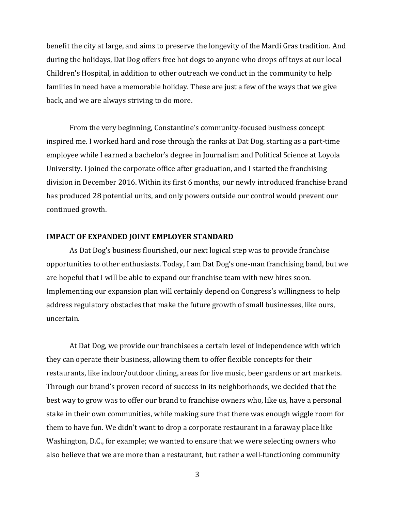benefit the city at large, and aims to preserve the longevity of the Mardi Gras tradition. And during the holidays, Dat Dog offers free hot dogs to anyone who drops off toys at our local Children's Hospital, in addition to other outreach we conduct in the community to help families in need have a memorable holiday. These are just a few of the ways that we give back, and we are always striving to do more.

From the very beginning, Constantine's community-focused business concept inspired me. I worked hard and rose through the ranks at Dat Dog, starting as a part-time employee while I earned a bachelor's degree in Journalism and Political Science at Loyola University. I joined the corporate office after graduation, and I started the franchising division in December 2016. Within its first 6 months, our newly introduced franchise brand has produced 28 potential units, and only powers outside our control would prevent our continued growth.

#### **IMPACT OF EXPANDED JOINT EMPLOYER STANDARD**

As Dat Dog's business flourished, our next logical step was to provide franchise opportunities to other enthusiasts. Today, I am Dat Dog's one-man franchising band, but we are hopeful that I will be able to expand our franchise team with new hires soon. Implementing our expansion plan will certainly depend on Congress's willingness to help address regulatory obstacles that make the future growth of small businesses, like ours, uncertain.

At Dat Dog, we provide our franchisees a certain level of independence with which they can operate their business, allowing them to offer flexible concepts for their restaurants, like indoor/outdoor dining, areas for live music, beer gardens or art markets. Through our brand's proven record of success in its neighborhoods, we decided that the best way to grow was to offer our brand to franchise owners who, like us, have a personal stake in their own communities, while making sure that there was enough wiggle room for them to have fun. We didn't want to drop a corporate restaurant in a faraway place like Washington, D.C., for example; we wanted to ensure that we were selecting owners who also believe that we are more than a restaurant, but rather a well-functioning community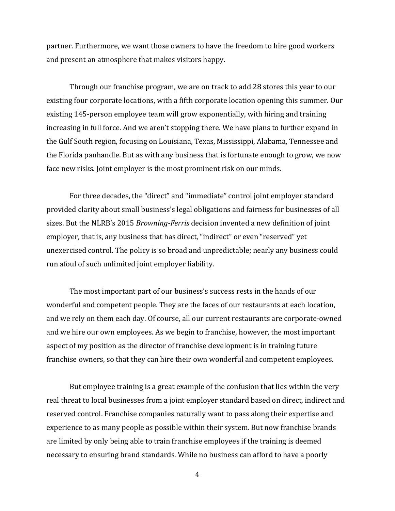partner. Furthermore, we want those owners to have the freedom to hire good workers and present an atmosphere that makes visitors happy.

Through our franchise program, we are on track to add 28 stores this year to our existing four corporate locations, with a fifth corporate location opening this summer. Our existing 145-person employee team will grow exponentially, with hiring and training increasing in full force. And we aren't stopping there. We have plans to further expand in the Gulf South region, focusing on Louisiana, Texas, Mississippi, Alabama, Tennessee and the Florida panhandle. But as with any business that is fortunate enough to grow, we now face new risks. Joint employer is the most prominent risk on our minds.

For three decades, the "direct" and "immediate" control joint employer standard provided clarity about small business's legal obligations and fairness for businesses of all sizes. But the NLRB's 2015 *Browning-Ferris* decision invented a new definition of joint employer, that is, any business that has direct, "indirect" or even "reserved" yet unexercised control. The policy is so broad and unpredictable; nearly any business could run afoul of such unlimited joint employer liability.

The most important part of our business's success rests in the hands of our wonderful and competent people. They are the faces of our restaurants at each location, and we rely on them each day. Of course, all our current restaurants are corporate-owned and we hire our own employees. As we begin to franchise, however, the most important aspect of my position as the director of franchise development is in training future franchise owners, so that they can hire their own wonderful and competent employees.

But employee training is a great example of the confusion that lies within the very real threat to local businesses from a joint employer standard based on direct, indirect and reserved control. Franchise companies naturally want to pass along their expertise and experience to as many people as possible within their system. But now franchise brands are limited by only being able to train franchise employees if the training is deemed necessary to ensuring brand standards. While no business can afford to have a poorly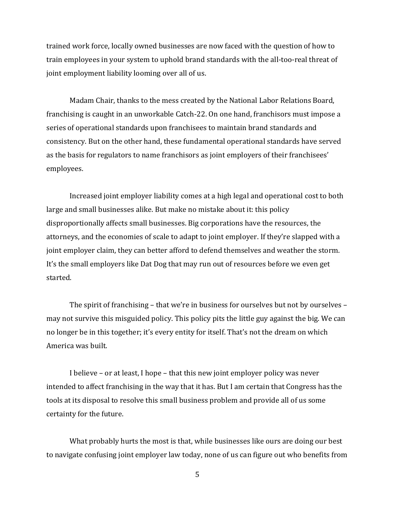trained work force, locally owned businesses are now faced with the question of how to train employees in your system to uphold brand standards with the all-too-real threat of joint employment liability looming over all of us.

Madam Chair, thanks to the mess created by the National Labor Relations Board, franchising is caught in an unworkable Catch-22. On one hand, franchisors must impose a series of operational standards upon franchisees to maintain brand standards and consistency. But on the other hand, these fundamental operational standards have served as the basis for regulators to name franchisors as joint employers of their franchisees' employees.

Increased joint employer liability comes at a high legal and operational cost to both large and small businesses alike. But make no mistake about it: this policy disproportionally affects small businesses. Big corporations have the resources, the attorneys, and the economies of scale to adapt to joint employer. If they're slapped with a joint employer claim, they can better afford to defend themselves and weather the storm. It's the small employers like Dat Dog that may run out of resources before we even get started.

The spirit of franchising – that we're in business for ourselves but not by ourselves – may not survive this misguided policy. This policy pits the little guy against the big. We can no longer be in this together; it's every entity for itself. That's not the dream on which America was built.

I believe – or at least, I hope – that this new joint employer policy was never intended to affect franchising in the way that it has. But I am certain that Congress has the tools at its disposal to resolve this small business problem and provide all of us some certainty for the future.

What probably hurts the most is that, while businesses like ours are doing our best to navigate confusing joint employer law today, none of us can figure out who benefits from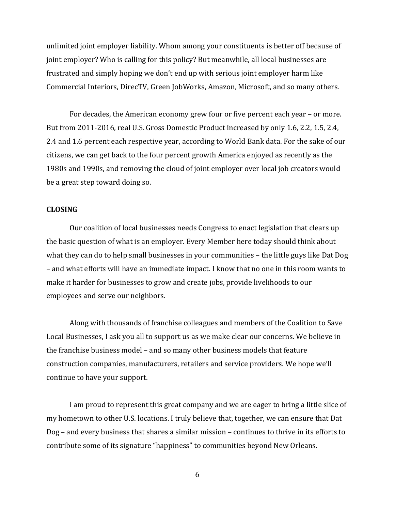unlimited joint employer liability. Whom among your constituents is better off because of joint employer? Who is calling for this policy? But meanwhile, all local businesses are frustrated and simply hoping we don't end up with serious joint employer harm like Commercial Interiors, DirecTV, Green JobWorks, Amazon, Microsoft, and so many others.

For decades, the American economy grew four or five percent each year – or more. But from 2011-2016, real U.S. Gross Domestic Product increased by only 1.6, 2.2, 1.5, 2.4, 2.4 and 1.6 percent each respective year, according to World Bank data. For the sake of our citizens, we can get back to the four percent growth America enjoyed as recently as the 1980s and 1990s, and removing the cloud of joint employer over local job creators would be a great step toward doing so.

### **CLOSING**

Our coalition of local businesses needs Congress to enact legislation that clears up the basic question of what is an employer. Every Member here today should think about what they can do to help small businesses in your communities – the little guys like Dat Dog – and what efforts will have an immediate impact. I know that no one in this room wants to make it harder for businesses to grow and create jobs, provide livelihoods to our employees and serve our neighbors.

Along with thousands of franchise colleagues and members of the Coalition to Save Local Businesses, I ask you all to support us as we make clear our concerns. We believe in the franchise business model – and so many other business models that feature construction companies, manufacturers, retailers and service providers. We hope we'll continue to have your support.

I am proud to represent this great company and we are eager to bring a little slice of my hometown to other U.S. locations. I truly believe that, together, we can ensure that Dat Dog – and every business that shares a similar mission – continues to thrive in its efforts to contribute some of its signature "happiness" to communities beyond New Orleans.